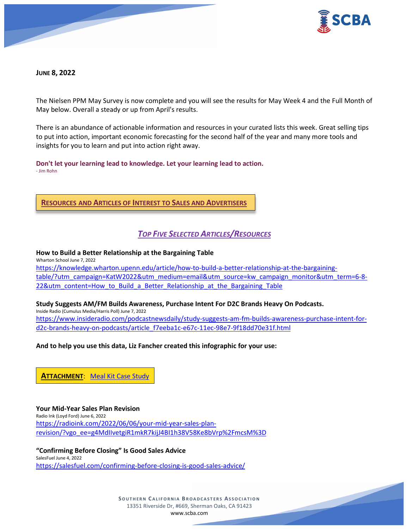

**JUNE 8, 2022** 

The Nielsen PPM May Survey is now complete and you will see the results for May Week 4 and the Full Month of May below. Overall a steady or up from April's results.

There is an abundance of actionable information and resources in your curated lists this week. Great selling tips to put into action, important economic forecasting for the second half of the year and many more tools and insights for you to learn and put into action right away.

**Don't let your learning lead to knowledge. Let your learning lead to action.** - Jim Rohn

**RESOURCES AND ARTICLES OF INTEREST TO SALES AND ADVERTISERS**

# *TOP FIVE SELECTED ARTICLES/RESOURCES*

**How to Build a Better Relationship at the Bargaining Table**

Wharton School June 7, 2022 [https://knowledge.wharton.upenn.edu/article/how-to-build-a-better-relationship-at-the-bargaining](https://knowledge.wharton.upenn.edu/article/how-to-build-a-better-relationship-at-the-bargaining-table/?utm_campaign=KatW2022&utm_medium=email&utm_source=kw_campaign_monitor&utm_term=6-8-22&utm_content=How_to_Build_a_Better_Relationship_at_the_Bargaining_Table)[table/?utm\\_campaign=KatW2022&utm\\_medium=email&utm\\_source=kw\\_campaign\\_monitor&utm\\_term=6-8-](https://knowledge.wharton.upenn.edu/article/how-to-build-a-better-relationship-at-the-bargaining-table/?utm_campaign=KatW2022&utm_medium=email&utm_source=kw_campaign_monitor&utm_term=6-8-22&utm_content=How_to_Build_a_Better_Relationship_at_the_Bargaining_Table) [22&utm\\_content=How\\_to\\_Build\\_a\\_Better\\_Relationship\\_at\\_the\\_Bargaining\\_Table](https://knowledge.wharton.upenn.edu/article/how-to-build-a-better-relationship-at-the-bargaining-table/?utm_campaign=KatW2022&utm_medium=email&utm_source=kw_campaign_monitor&utm_term=6-8-22&utm_content=How_to_Build_a_Better_Relationship_at_the_Bargaining_Table)

**Study Suggests AM/FM Builds Awareness, Purchase Intent For D2C Brands Heavy On Podcasts.** Inside Radio (Cumulus Media/Harris Poll) June 7, 2022 [https://www.insideradio.com/podcastnewsdaily/study-suggests-am-fm-builds-awareness-purchase-intent-for](https://www.insideradio.com/podcastnewsdaily/study-suggests-am-fm-builds-awareness-purchase-intent-for-d2c-brands-heavy-on-podcasts/article_f7eeba1c-e67c-11ec-98e7-9f18dd70e31f.html)[d2c-brands-heavy-on-podcasts/article\\_f7eeba1c-e67c-11ec-98e7-9f18dd70e31f.html](https://www.insideradio.com/podcastnewsdaily/study-suggests-am-fm-builds-awareness-purchase-intent-for-d2c-brands-heavy-on-podcasts/article_f7eeba1c-e67c-11ec-98e7-9f18dd70e31f.html)

**And to help you use this data, Liz Fancher created this infographic for your use:**

**ATTACHMENT**: [Meal Kit Case Study](https://scba.com/wp-content/uploads/2022/06/2022.06-Meal-Kit-Case-Study.pdf)

**Your Mid-Year Sales Plan Revision** Radio Ink (Loyd Ford) June 6, 2022 [https://radioink.com/2022/06/06/your-mid-year-sales-plan](https://radioink.com/2022/06/06/your-mid-year-sales-plan-revision/?vgo_ee=g4MdIIvetgiR1mkR7kijJ4BI1h38V58Ke8bVrp%2FmcsM%3D)[revision/?vgo\\_ee=g4MdIIvetgiR1mkR7kijJ4BI1h38V58Ke8bVrp%2FmcsM%3D](https://radioink.com/2022/06/06/your-mid-year-sales-plan-revision/?vgo_ee=g4MdIIvetgiR1mkR7kijJ4BI1h38V58Ke8bVrp%2FmcsM%3D)

**"Confirming Before Closing" Is Good Sales Advice** SalesFuel June 4, 2022 <https://salesfuel.com/confirming-before-closing-is-good-sales-advice/>

> **SOUTHERN C ALIFORNIA B ROADCASTERS ASSOCIATION** 13351 Riverside Dr, #669, Sherman Oaks, CA 91423 [www.scba.com](http://www.scba.com/)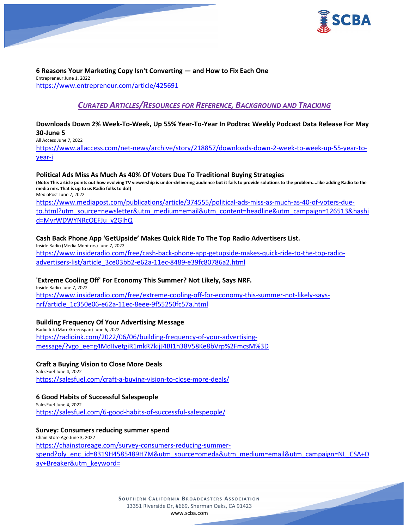

#### **6 Reasons Your Marketing Copy Isn't Converting — and How to Fix Each One** Entrepreneur June 1, 2022

<https://www.entrepreneur.com/article/425691>

# *CURATED ARTICLES/RESOURCES FOR REFERENCE, BACKGROUND AND TRACKING*

# **Downloads Down 2% Week-To-Week, Up 55% Year-To-Year In Podtrac Weekly Podcast Data Release For May 30-June 5**

All Access June 7, 2022

[https://www.allaccess.com/net-news/archive/story/218857/downloads-down-2-week-to-week-up-55-year-to](https://www.allaccess.com/net-news/archive/story/218857/downloads-down-2-week-to-week-up-55-year-to-year-i)[year-i](https://www.allaccess.com/net-news/archive/story/218857/downloads-down-2-week-to-week-up-55-year-to-year-i)

### **Political Ads Miss As Much As 40% Of Voters Due To Traditional Buying Strategies**

**(Note: This article points out how evolving TV viewership is under-delivering audience but it fails to provide solutions to the problem....like adding Radio to the media mix. That is up to us Radio folks to do!)** MediaPost June 7, 2022

[https://www.mediapost.com/publications/article/374555/political-ads-miss-as-much-as-40-of-voters-due](https://www.mediapost.com/publications/article/374555/political-ads-miss-as-much-as-40-of-voters-due-to.html?utm_source=newsletter&utm_medium=email&utm_content=headline&utm_campaign=126513&hashid=MvrWDWYNRcOEFJu_y2GIhQ)[to.html?utm\\_source=newsletter&utm\\_medium=email&utm\\_content=headline&utm\\_campaign=126513&hashi](https://www.mediapost.com/publications/article/374555/political-ads-miss-as-much-as-40-of-voters-due-to.html?utm_source=newsletter&utm_medium=email&utm_content=headline&utm_campaign=126513&hashid=MvrWDWYNRcOEFJu_y2GIhQ) [d=MvrWDWYNRcOEFJu\\_y2GIhQ](https://www.mediapost.com/publications/article/374555/political-ads-miss-as-much-as-40-of-voters-due-to.html?utm_source=newsletter&utm_medium=email&utm_content=headline&utm_campaign=126513&hashid=MvrWDWYNRcOEFJu_y2GIhQ)

# **Cash Back Phone App 'GetUpside' Makes Quick Ride To The Top Radio Advertisers List.**

Inside Radio (Media Monitors) June 7, 2022 [https://www.insideradio.com/free/cash-back-phone-app-getupside-makes-quick-ride-to-the-top-radio](https://www.insideradio.com/free/cash-back-phone-app-getupside-makes-quick-ride-to-the-top-radio-advertisers-list/article_3ce03bb2-e62a-11ec-8489-e39fc80786a2.html)[advertisers-list/article\\_3ce03bb2-e62a-11ec-8489-e39fc80786a2.html](https://www.insideradio.com/free/cash-back-phone-app-getupside-makes-quick-ride-to-the-top-radio-advertisers-list/article_3ce03bb2-e62a-11ec-8489-e39fc80786a2.html)

# **'Extreme Cooling Off' For Economy This Summer? Not Likely, Says NRF.**

Inside Radio June 7, 2022 [https://www.insideradio.com/free/extreme-cooling-off-for-economy-this-summer-not-likely-says](https://www.insideradio.com/free/extreme-cooling-off-for-economy-this-summer-not-likely-says-nrf/article_1c350e06-e62a-11ec-8eee-9f55250fc57a.html)[nrf/article\\_1c350e06-e62a-11ec-8eee-9f55250fc57a.html](https://www.insideradio.com/free/extreme-cooling-off-for-economy-this-summer-not-likely-says-nrf/article_1c350e06-e62a-11ec-8eee-9f55250fc57a.html)

# **Building Frequency Of Your Advertising Message**

Radio Ink (Marc Greenspan) June 6, 2022 [https://radioink.com/2022/06/06/building-frequency-of-your-advertising](https://radioink.com/2022/06/06/building-frequency-of-your-advertising-message/?vgo_ee=g4MdIIvetgiR1mkR7kijJ4BI1h38V58Ke8bVrp%2FmcsM%3D)[message/?vgo\\_ee=g4MdIIvetgiR1mkR7kijJ4BI1h38V58Ke8bVrp%2FmcsM%3D](https://radioink.com/2022/06/06/building-frequency-of-your-advertising-message/?vgo_ee=g4MdIIvetgiR1mkR7kijJ4BI1h38V58Ke8bVrp%2FmcsM%3D)

# **Craft a Buying Vision to Close More Deals**

SalesFuel June 4, 2022 <https://salesfuel.com/craft-a-buying-vision-to-close-more-deals/>

# **6 Good Habits of Successful Salespeople**

SalesFuel June 4, 2022 <https://salesfuel.com/6-good-habits-of-successful-salespeople/>

# **Survey: Consumers reducing summer spend**

Chain Store Age June 3, 2022 [https://chainstoreage.com/survey-consumers-reducing-summer](https://chainstoreage.com/survey-consumers-reducing-summer-spend?oly_enc_id=8319H4585489H7M&utm_source=omeda&utm_medium=email&utm_campaign=NL_CSA+Day+Breaker&utm_keyword=)[spend?oly\\_enc\\_id=8319H4585489H7M&utm\\_source=omeda&utm\\_medium=email&utm\\_campaign=NL\\_CSA+D](https://chainstoreage.com/survey-consumers-reducing-summer-spend?oly_enc_id=8319H4585489H7M&utm_source=omeda&utm_medium=email&utm_campaign=NL_CSA+Day+Breaker&utm_keyword=) [ay+Breaker&utm\\_keyword=](https://chainstoreage.com/survey-consumers-reducing-summer-spend?oly_enc_id=8319H4585489H7M&utm_source=omeda&utm_medium=email&utm_campaign=NL_CSA+Day+Breaker&utm_keyword=)

> **SOUTHERN C ALIFORNIA B ROADCASTERS ASSOCIATION** 13351 Riverside Dr, #669, Sherman Oaks, CA 91423 [www.scba.com](http://www.scba.com/)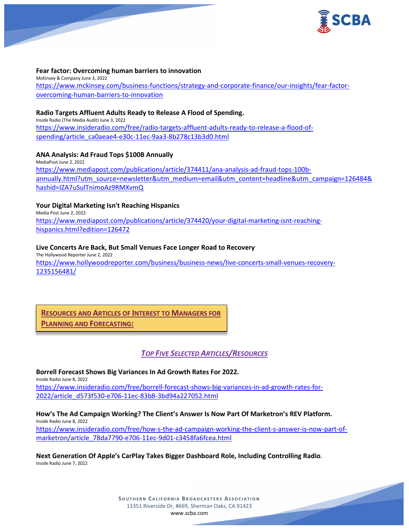

#### **Fear factor: Overcoming human barriers to innovation**

McKinsey & Company June 3, 2022 [https://www.mckinsey.com/business-functions/strategy-and-corporate-finance/our-insights/fear-factor](https://www.mckinsey.com/business-functions/strategy-and-corporate-finance/our-insights/fear-factor-overcoming-human-barriers-to-innovation)[overcoming-human-barriers-to-innovation](https://www.mckinsey.com/business-functions/strategy-and-corporate-finance/our-insights/fear-factor-overcoming-human-barriers-to-innovation)

#### **Radio Targets Affluent Adults Ready to Release A Flood of Spending.**

Inside Radio (The Media Audit) June 3, 2022 [https://www.insideradio.com/free/radio-targets-affluent-adults-ready-to-release-a-flood-of](https://www.insideradio.com/free/radio-targets-affluent-adults-ready-to-release-a-flood-of-spending/article_ca0aeae4-e30c-11ec-9aa3-8b278c13b3d0.html)[spending/article\\_ca0aeae4-e30c-11ec-9aa3-8b278c13b3d0.html](https://www.insideradio.com/free/radio-targets-affluent-adults-ready-to-release-a-flood-of-spending/article_ca0aeae4-e30c-11ec-9aa3-8b278c13b3d0.html)

#### **ANA Analysis: Ad Fraud Tops \$100B Annually**

MediaPost June 2, 2022 [https://www.mediapost.com/publications/article/374411/ana-analysis-ad-fraud-tops-100b](https://www.mediapost.com/publications/article/374411/ana-analysis-ad-fraud-tops-100b-annually.html?utm_source=newsletter&utm_medium=email&utm_content=headline&utm_campaign=126484&hashid=IZA7uSulTnimoAz9RMXvmQ)[annually.html?utm\\_source=newsletter&utm\\_medium=email&utm\\_content=headline&utm\\_campaign=126484&](https://www.mediapost.com/publications/article/374411/ana-analysis-ad-fraud-tops-100b-annually.html?utm_source=newsletter&utm_medium=email&utm_content=headline&utm_campaign=126484&hashid=IZA7uSulTnimoAz9RMXvmQ) [hashid=IZA7uSulTnimoAz9RMXvmQ](https://www.mediapost.com/publications/article/374411/ana-analysis-ad-fraud-tops-100b-annually.html?utm_source=newsletter&utm_medium=email&utm_content=headline&utm_campaign=126484&hashid=IZA7uSulTnimoAz9RMXvmQ)

#### **Your Digital Marketing Isn't Reaching Hispanics**

Media Post June 2, 2022 [https://www.mediapost.com/publications/article/374420/your-digital-marketing-isnt-reaching](https://www.mediapost.com/publications/article/374420/your-digital-marketing-isnt-reaching-hispanics.html?edition=126472)[hispanics.html?edition=126472](https://www.mediapost.com/publications/article/374420/your-digital-marketing-isnt-reaching-hispanics.html?edition=126472)

#### **Live Concerts Are Back, But Small Venues Face Longer Road to Recovery**

The Hollywood Reporter June 2, 2022 [https://www.hollywoodreporter.com/business/business-news/live-concerts-small-venues-recovery-](https://www.hollywoodreporter.com/business/business-news/live-concerts-small-venues-recovery-1235156481/)[1235156481/](https://www.hollywoodreporter.com/business/business-news/live-concerts-small-venues-recovery-1235156481/)

# **RESOURCES AND ARTICLES OF INTEREST TO MANAGERS FOR**

**PLANNING AND FORECASTING:**

# *TOP FIVE SELECTED ARTICLES/RESOURCES*

**Borrell Forecast Shows Big Variances In Ad Growth Rates For 2022.** Inside Radio June 8, 2022 [https://www.insideradio.com/free/borrell-forecast-shows-big-variances-in-ad-growth-rates-for-](https://www.insideradio.com/free/borrell-forecast-shows-big-variances-in-ad-growth-rates-for-2022/article_d573f530-e706-11ec-83b8-3bd94a227052.html)[2022/article\\_d573f530-e706-11ec-83b8-3bd94a227052.html](https://www.insideradio.com/free/borrell-forecast-shows-big-variances-in-ad-growth-rates-for-2022/article_d573f530-e706-11ec-83b8-3bd94a227052.html)

**How's The Ad Campaign Working? The Client's Answer Is Now Part Of Marketron's REV Platform.** Inside Radio June 8, 2022 [https://www.insideradio.com/free/how-s-the-ad-campaign-working-the-client-s-answer-is-now-part-of](https://www.insideradio.com/free/how-s-the-ad-campaign-working-the-client-s-answer-is-now-part-of-marketron/article_78da7790-e706-11ec-9d01-c3458fa6fcea.html)[marketron/article\\_78da7790-e706-11ec-9d01-c3458fa6fcea.html](https://www.insideradio.com/free/how-s-the-ad-campaign-working-the-client-s-answer-is-now-part-of-marketron/article_78da7790-e706-11ec-9d01-c3458fa6fcea.html)

**Next Generation Of Apple's CarPlay Takes Bigger Dashboard Role, Including Controlling Radio.** Inside Radio June 7, 2022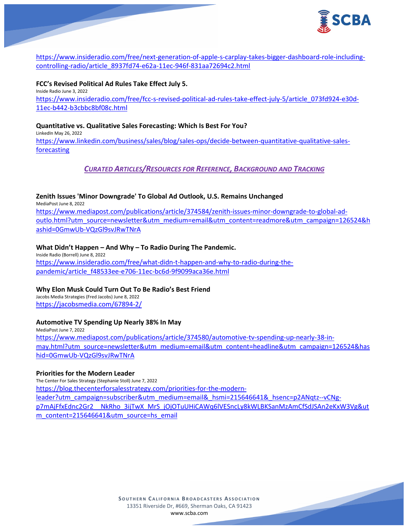

[https://www.insideradio.com/free/next-generation-of-apple-s-carplay-takes-bigger-dashboard-role-including](https://www.insideradio.com/free/next-generation-of-apple-s-carplay-takes-bigger-dashboard-role-including-controlling-radio/article_8937fd74-e62a-11ec-946f-831aa72694c2.html)[controlling-radio/article\\_8937fd74-e62a-11ec-946f-831aa72694c2.html](https://www.insideradio.com/free/next-generation-of-apple-s-carplay-takes-bigger-dashboard-role-including-controlling-radio/article_8937fd74-e62a-11ec-946f-831aa72694c2.html)

**FCC's Revised Political Ad Rules Take Effect July 5.** Inside Radio June 3, 2022 [https://www.insideradio.com/free/fcc-s-revised-political-ad-rules-take-effect-july-5/article\\_073fd924-e30d-](https://www.insideradio.com/free/fcc-s-revised-political-ad-rules-take-effect-july-5/article_073fd924-e30d-11ec-b442-b3cbbc8bf08c.html)[11ec-b442-b3cbbc8bf08c.html](https://www.insideradio.com/free/fcc-s-revised-political-ad-rules-take-effect-july-5/article_073fd924-e30d-11ec-b442-b3cbbc8bf08c.html)

#### **Quantitative vs. Qualitative Sales Forecasting: Which Is Best For You?** LinkedIn May 26, 2022 [https://www.linkedin.com/business/sales/blog/sales-ops/decide-between-quantitative-qualitative-sales](https://www.linkedin.com/business/sales/blog/sales-ops/decide-between-quantitative-qualitative-sales-forecasting)[forecasting](https://www.linkedin.com/business/sales/blog/sales-ops/decide-between-quantitative-qualitative-sales-forecasting)

# *CURATED ARTICLES/RESOURCES FOR REFERENCE, BACKGROUND AND TRACKING*

# **Zenith Issues 'Minor Downgrade' To Global Ad Outlook, U.S. Remains Unchanged**

MediaPost June 8, 2022

[https://www.mediapost.com/publications/article/374584/zenith-issues-minor-downgrade-to-global-ad](https://www.mediapost.com/publications/article/374584/zenith-issues-minor-downgrade-to-global-ad-outlo.html?utm_source=newsletter&utm_medium=email&utm_content=readmore&utm_campaign=126524&hashid=0GmwUb-VQzGl9svJRwTNrA)[outlo.html?utm\\_source=newsletter&utm\\_medium=email&utm\\_content=readmore&utm\\_campaign=126524&h](https://www.mediapost.com/publications/article/374584/zenith-issues-minor-downgrade-to-global-ad-outlo.html?utm_source=newsletter&utm_medium=email&utm_content=readmore&utm_campaign=126524&hashid=0GmwUb-VQzGl9svJRwTNrA) [ashid=0GmwUb-VQzGl9svJRwTNrA](https://www.mediapost.com/publications/article/374584/zenith-issues-minor-downgrade-to-global-ad-outlo.html?utm_source=newsletter&utm_medium=email&utm_content=readmore&utm_campaign=126524&hashid=0GmwUb-VQzGl9svJRwTNrA)

### **What Didn't Happen – And Why – To Radio During The Pandemic.**

Inside Radio (Borrell) June 8, 2022 [https://www.insideradio.com/free/what-didn-t-happen-and-why-to-radio-during-the](https://www.insideradio.com/free/what-didn-t-happen-and-why-to-radio-during-the-pandemic/article_f48533ee-e706-11ec-bc6d-9f9099aca36e.html)[pandemic/article\\_f48533ee-e706-11ec-bc6d-9f9099aca36e.html](https://www.insideradio.com/free/what-didn-t-happen-and-why-to-radio-during-the-pandemic/article_f48533ee-e706-11ec-bc6d-9f9099aca36e.html)

#### **Why Elon Musk Could Turn Out To Be Radio's Best Friend**

Jacobs Media Strategies (Fred Jacobs) June 8, 2022 <https://jacobsmedia.com/67894-2/>

# **Automotive TV Spending Up Nearly 38% In May**

MediaPost June 7, 2022 [https://www.mediapost.com/publications/article/374580/automotive-tv-spending-up-nearly-38-in](https://www.mediapost.com/publications/article/374580/automotive-tv-spending-up-nearly-38-in-may.html?utm_source=newsletter&utm_medium=email&utm_content=headline&utm_campaign=126524&hashid=0GmwUb-VQzGl9svJRwTNrA)[may.html?utm\\_source=newsletter&utm\\_medium=email&utm\\_content=headline&utm\\_campaign=126524&has](https://www.mediapost.com/publications/article/374580/automotive-tv-spending-up-nearly-38-in-may.html?utm_source=newsletter&utm_medium=email&utm_content=headline&utm_campaign=126524&hashid=0GmwUb-VQzGl9svJRwTNrA) [hid=0GmwUb-VQzGl9svJRwTNrA](https://www.mediapost.com/publications/article/374580/automotive-tv-spending-up-nearly-38-in-may.html?utm_source=newsletter&utm_medium=email&utm_content=headline&utm_campaign=126524&hashid=0GmwUb-VQzGl9svJRwTNrA)

#### **Priorities for the Modern Leader**

The Center For Sales Strategy (Stephanie Stoll) June 7, 2022 [https://blog.thecenterforsalesstrategy.com/priorities-for-the-modern](https://blog.thecenterforsalesstrategy.com/priorities-for-the-modern-leader?utm_campaign=subscriber&utm_medium=email&_hsmi=215646641&_hsenc=p2ANqtz--vCNg-p7mAjFfxEdnc2Gr2__NkRho_3ijTwX_MrS_jOjOTuUHiCAWq6lVESncLy8kWLBKSanMzAmCfSdJSAn2eKxW3Vg&utm_content=215646641&utm_source=hs_email)[leader?utm\\_campaign=subscriber&utm\\_medium=email&\\_hsmi=215646641&\\_hsenc=p2ANqtz--vCNg](https://blog.thecenterforsalesstrategy.com/priorities-for-the-modern-leader?utm_campaign=subscriber&utm_medium=email&_hsmi=215646641&_hsenc=p2ANqtz--vCNg-p7mAjFfxEdnc2Gr2__NkRho_3ijTwX_MrS_jOjOTuUHiCAWq6lVESncLy8kWLBKSanMzAmCfSdJSAn2eKxW3Vg&utm_content=215646641&utm_source=hs_email)[p7mAjFfxEdnc2Gr2\\_\\_NkRho\\_3ijTwX\\_MrS\\_jOjOTuUHiCAWq6lVESncLy8kWLBKSanMzAmCfSdJSAn2eKxW3Vg&ut](https://blog.thecenterforsalesstrategy.com/priorities-for-the-modern-leader?utm_campaign=subscriber&utm_medium=email&_hsmi=215646641&_hsenc=p2ANqtz--vCNg-p7mAjFfxEdnc2Gr2__NkRho_3ijTwX_MrS_jOjOTuUHiCAWq6lVESncLy8kWLBKSanMzAmCfSdJSAn2eKxW3Vg&utm_content=215646641&utm_source=hs_email) [m\\_content=215646641&utm\\_source=hs\\_email](https://blog.thecenterforsalesstrategy.com/priorities-for-the-modern-leader?utm_campaign=subscriber&utm_medium=email&_hsmi=215646641&_hsenc=p2ANqtz--vCNg-p7mAjFfxEdnc2Gr2__NkRho_3ijTwX_MrS_jOjOTuUHiCAWq6lVESncLy8kWLBKSanMzAmCfSdJSAn2eKxW3Vg&utm_content=215646641&utm_source=hs_email)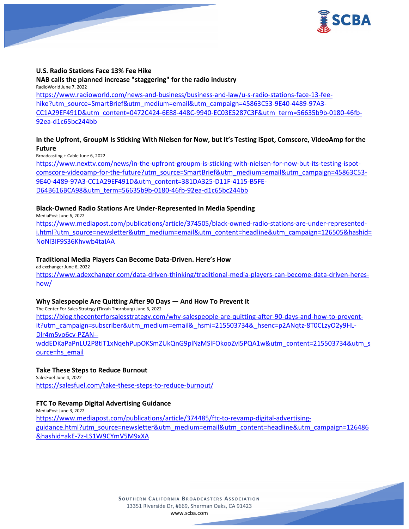

#### **U.S. Radio Stations Face 13% Fee Hike**

#### **NAB calls the planned increase "staggering" for the radio industry**

RadioWorld June 7, 2022 [https://www.radioworld.com/news-and-business/business-and-law/u-s-radio-stations-face-13-fee](https://www.radioworld.com/news-and-business/business-and-law/u-s-radio-stations-face-13-fee-hike?utm_source=SmartBrief&utm_medium=email&utm_campaign=45863C53-9E40-4489-97A3-CC1A29EF491D&utm_content=0472C424-6E88-448C-9940-EC03E5287C3F&utm_term=56635b9b-0180-46fb-92ea-d1c65bc244bb)[hike?utm\\_source=SmartBrief&utm\\_medium=email&utm\\_campaign=45863C53-9E40-4489-97A3-](https://www.radioworld.com/news-and-business/business-and-law/u-s-radio-stations-face-13-fee-hike?utm_source=SmartBrief&utm_medium=email&utm_campaign=45863C53-9E40-4489-97A3-CC1A29EF491D&utm_content=0472C424-6E88-448C-9940-EC03E5287C3F&utm_term=56635b9b-0180-46fb-92ea-d1c65bc244bb) [CC1A29EF491D&utm\\_content=0472C424-6E88-448C-9940-EC03E5287C3F&utm\\_term=56635b9b-0180-46fb-](https://www.radioworld.com/news-and-business/business-and-law/u-s-radio-stations-face-13-fee-hike?utm_source=SmartBrief&utm_medium=email&utm_campaign=45863C53-9E40-4489-97A3-CC1A29EF491D&utm_content=0472C424-6E88-448C-9940-EC03E5287C3F&utm_term=56635b9b-0180-46fb-92ea-d1c65bc244bb)[92ea-d1c65bc244bb](https://www.radioworld.com/news-and-business/business-and-law/u-s-radio-stations-face-13-fee-hike?utm_source=SmartBrief&utm_medium=email&utm_campaign=45863C53-9E40-4489-97A3-CC1A29EF491D&utm_content=0472C424-6E88-448C-9940-EC03E5287C3F&utm_term=56635b9b-0180-46fb-92ea-d1c65bc244bb)

# **In the Upfront, GroupM Is Sticking With Nielsen for Now, but It's Testing iSpot, Comscore, VideoAmp for the Future**

Broadcasting + Cable June 6, 2022

[https://www.nexttv.com/news/in-the-upfront-groupm-is-sticking-with-nielsen-for-now-but-its-testing-ispot](https://www.nexttv.com/news/in-the-upfront-groupm-is-sticking-with-nielsen-for-now-but-its-testing-ispot-comscore-videoamp-for-the-future?utm_source=SmartBrief&utm_medium=email&utm_campaign=45863C53-9E40-4489-97A3-CC1A29EF491D&utm_content=381DA325-D11F-4115-B5FE-D64B616BCA98&utm_term=56635b9b-0180-46fb-92ea-d1c65bc244bb)[comscore-videoamp-for-the-future?utm\\_source=SmartBrief&utm\\_medium=email&utm\\_campaign=45863C53-](https://www.nexttv.com/news/in-the-upfront-groupm-is-sticking-with-nielsen-for-now-but-its-testing-ispot-comscore-videoamp-for-the-future?utm_source=SmartBrief&utm_medium=email&utm_campaign=45863C53-9E40-4489-97A3-CC1A29EF491D&utm_content=381DA325-D11F-4115-B5FE-D64B616BCA98&utm_term=56635b9b-0180-46fb-92ea-d1c65bc244bb) [9E40-4489-97A3-CC1A29EF491D&utm\\_content=381DA325-D11F-4115-B5FE-](https://www.nexttv.com/news/in-the-upfront-groupm-is-sticking-with-nielsen-for-now-but-its-testing-ispot-comscore-videoamp-for-the-future?utm_source=SmartBrief&utm_medium=email&utm_campaign=45863C53-9E40-4489-97A3-CC1A29EF491D&utm_content=381DA325-D11F-4115-B5FE-D64B616BCA98&utm_term=56635b9b-0180-46fb-92ea-d1c65bc244bb)[D64B616BCA98&utm\\_term=56635b9b-0180-46fb-92ea-d1c65bc244bb](https://www.nexttv.com/news/in-the-upfront-groupm-is-sticking-with-nielsen-for-now-but-its-testing-ispot-comscore-videoamp-for-the-future?utm_source=SmartBrief&utm_medium=email&utm_campaign=45863C53-9E40-4489-97A3-CC1A29EF491D&utm_content=381DA325-D11F-4115-B5FE-D64B616BCA98&utm_term=56635b9b-0180-46fb-92ea-d1c65bc244bb)

## **Black-Owned Radio Stations Are Under-Represented In Media Spending**

MediaPost June 6, 2022

[https://www.mediapost.com/publications/article/374505/black-owned-radio-stations-are-under-represented](https://www.mediapost.com/publications/article/374505/black-owned-radio-stations-are-under-represented-i.html?utm_source=newsletter&utm_medium=email&utm_content=headline&utm_campaign=126505&hashid=NoNl3IF9S36Khvwb4taIAA)[i.html?utm\\_source=newsletter&utm\\_medium=email&utm\\_content=headline&utm\\_campaign=126505&hashid=](https://www.mediapost.com/publications/article/374505/black-owned-radio-stations-are-under-represented-i.html?utm_source=newsletter&utm_medium=email&utm_content=headline&utm_campaign=126505&hashid=NoNl3IF9S36Khvwb4taIAA) [NoNl3IF9S36Khvwb4taIAA](https://www.mediapost.com/publications/article/374505/black-owned-radio-stations-are-under-represented-i.html?utm_source=newsletter&utm_medium=email&utm_content=headline&utm_campaign=126505&hashid=NoNl3IF9S36Khvwb4taIAA)

#### **Traditional Media Players Can Become Data-Driven. Here's How**

ad exchanger June 6, 2022

[https://www.adexchanger.com/data-driven-thinking/traditional-media-players-can-become-data-driven-heres](https://www.adexchanger.com/data-driven-thinking/traditional-media-players-can-become-data-driven-heres-how/)[how/](https://www.adexchanger.com/data-driven-thinking/traditional-media-players-can-become-data-driven-heres-how/)

#### **Why Salespeople Are Quitting After 90 Days — And How To Prevent It**

The Center For Sales Strategy (Tirzah Thornburg) June 6, 2022 [https://blog.thecenterforsalesstrategy.com/why-salespeople-are-quitting-after-90-days-and-how-to-prevent](https://blog.thecenterforsalesstrategy.com/why-salespeople-are-quitting-after-90-days-and-how-to-prevent-it?utm_campaign=subscriber&utm_medium=email&_hsmi=215503734&_hsenc=p2ANqtz-8T0CLzyO2y9HL-Dlr4m5vo6cv-PZAN--wddEDKaPaPnLU2P8tIT1xNqehPupOKSmZUkQnG9plNzMSlFOkooZvl5PQA1w&utm_content=215503734&utm_source=hs_email)[it?utm\\_campaign=subscriber&utm\\_medium=email&\\_hsmi=215503734&\\_hsenc=p2ANqtz-8T0CLzyO2y9HL-](https://blog.thecenterforsalesstrategy.com/why-salespeople-are-quitting-after-90-days-and-how-to-prevent-it?utm_campaign=subscriber&utm_medium=email&_hsmi=215503734&_hsenc=p2ANqtz-8T0CLzyO2y9HL-Dlr4m5vo6cv-PZAN--wddEDKaPaPnLU2P8tIT1xNqehPupOKSmZUkQnG9plNzMSlFOkooZvl5PQA1w&utm_content=215503734&utm_source=hs_email)[Dlr4m5vo6cv-PZAN-](https://blog.thecenterforsalesstrategy.com/why-salespeople-are-quitting-after-90-days-and-how-to-prevent-it?utm_campaign=subscriber&utm_medium=email&_hsmi=215503734&_hsenc=p2ANqtz-8T0CLzyO2y9HL-Dlr4m5vo6cv-PZAN--wddEDKaPaPnLU2P8tIT1xNqehPupOKSmZUkQnG9plNzMSlFOkooZvl5PQA1w&utm_content=215503734&utm_source=hs_email) [wddEDKaPaPnLU2P8tIT1xNqehPupOKSmZUkQnG9plNzMSlFOkooZvl5PQA1w&utm\\_content=215503734&utm\\_s](https://blog.thecenterforsalesstrategy.com/why-salespeople-are-quitting-after-90-days-and-how-to-prevent-it?utm_campaign=subscriber&utm_medium=email&_hsmi=215503734&_hsenc=p2ANqtz-8T0CLzyO2y9HL-Dlr4m5vo6cv-PZAN--wddEDKaPaPnLU2P8tIT1xNqehPupOKSmZUkQnG9plNzMSlFOkooZvl5PQA1w&utm_content=215503734&utm_source=hs_email) [ource=hs\\_email](https://blog.thecenterforsalesstrategy.com/why-salespeople-are-quitting-after-90-days-and-how-to-prevent-it?utm_campaign=subscriber&utm_medium=email&_hsmi=215503734&_hsenc=p2ANqtz-8T0CLzyO2y9HL-Dlr4m5vo6cv-PZAN--wddEDKaPaPnLU2P8tIT1xNqehPupOKSmZUkQnG9plNzMSlFOkooZvl5PQA1w&utm_content=215503734&utm_source=hs_email)

#### **Take These Steps to Reduce Burnout**

SalesFuel June 4, 2022 <https://salesfuel.com/take-these-steps-to-reduce-burnout/>

## **FTC To Revamp Digital Advertising Guidance**

MediaPost June 3, 2022 [https://www.mediapost.com/publications/article/374485/ftc-to-revamp-digital-advertising](https://www.mediapost.com/publications/article/374485/ftc-to-revamp-digital-advertising-guidance.html?utm_source=newsletter&utm_medium=email&utm_content=headline&utm_campaign=126486&hashid=akE-7z-LS1W9CYmV5M9xXA)[guidance.html?utm\\_source=newsletter&utm\\_medium=email&utm\\_content=headline&utm\\_campaign=126486](https://www.mediapost.com/publications/article/374485/ftc-to-revamp-digital-advertising-guidance.html?utm_source=newsletter&utm_medium=email&utm_content=headline&utm_campaign=126486&hashid=akE-7z-LS1W9CYmV5M9xXA) [&hashid=akE-7z-LS1W9CYmV5M9xXA](https://www.mediapost.com/publications/article/374485/ftc-to-revamp-digital-advertising-guidance.html?utm_source=newsletter&utm_medium=email&utm_content=headline&utm_campaign=126486&hashid=akE-7z-LS1W9CYmV5M9xXA)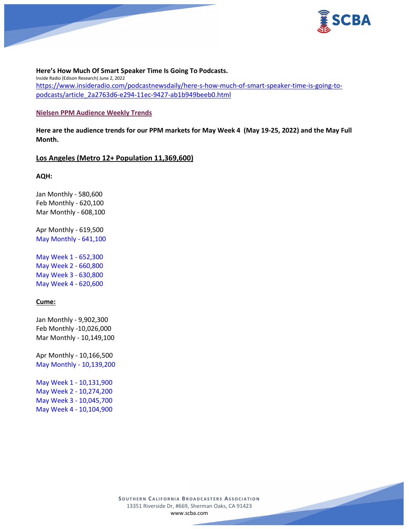

### **Here's How Much Of Smart Speaker Time Is Going To Podcasts.**

Inside Radio (Edison Research) June 2, 2022 [https://www.insideradio.com/podcastnewsdaily/here-s-how-much-of-smart-speaker-time-is-going-to](https://www.insideradio.com/podcastnewsdaily/here-s-how-much-of-smart-speaker-time-is-going-to-podcasts/article_2a2763d6-e294-11ec-9427-ab1b949beeb0.html)[podcasts/article\\_2a2763d6-e294-11ec-9427-ab1b949beeb0.html](https://www.insideradio.com/podcastnewsdaily/here-s-how-much-of-smart-speaker-time-is-going-to-podcasts/article_2a2763d6-e294-11ec-9427-ab1b949beeb0.html)

#### **Nielsen PPM Audience Weekly Trends**

**Here are the audience trends for our PPM markets for May Week 4 (May 19-25, 2022) and the May Full Month.**

#### **Los Angeles (Metro 12+ Population 11,369,600)**

**AQH:**

Jan Monthly - 580,600 Feb Monthly - 620,100 Mar Monthly - 608,100

Apr Monthly - 619,500 May Monthly - 641,100

May Week 1 - 652,300 May Week 2 - 660,800 May Week 3 - 630,800 May Week 4 - 620,600

## **Cume:**

Jan Monthly - 9,902,300 Feb Monthly -10,026,000 Mar Monthly - 10,149,100

Apr Monthly - 10,166,500 May Monthly - 10,139,200

May Week 1 - 10,131,900 May Week 2 - 10,274,200 May Week 3 - 10,045,700 May Week 4 - 10,104,900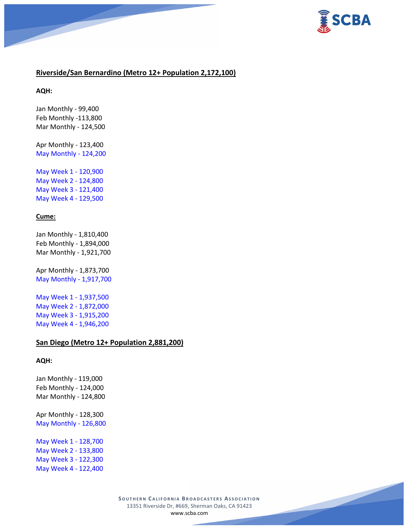

# **Riverside/San Bernardino (Metro 12+ Population 2,172,100)**

**AQH:**

Jan Monthly - 99,400 Feb Monthly -113,800 Mar Monthly - 124,500

Apr Monthly - 123,400 May Monthly - 124,200

May Week 1 - 120,900 May Week 2 - 124,800 May Week 3 - 121,400 May Week 4 - 129,500

### **Cume:**

Jan Monthly - 1,810,400 Feb Monthly - 1,894,000 Mar Monthly - 1,921,700

Apr Monthly - 1,873,700 May Monthly - 1,917,700

May Week 1 - 1,937,500 May Week 2 - 1,872,000 May Week 3 - 1,915,200 May Week 4 - 1,946,200

### **San Diego (Metro 12+ Population 2,881,200)**

#### **AQH:**

Jan Monthly - 119,000 Feb Monthly - 124,000 Mar Monthly - 124,800

Apr Monthly - 128,300 May Monthly - 126,800

May Week 1 - 128,700 May Week 2 - 133,800 May Week 3 - 122,300 May Week 4 - 122,400